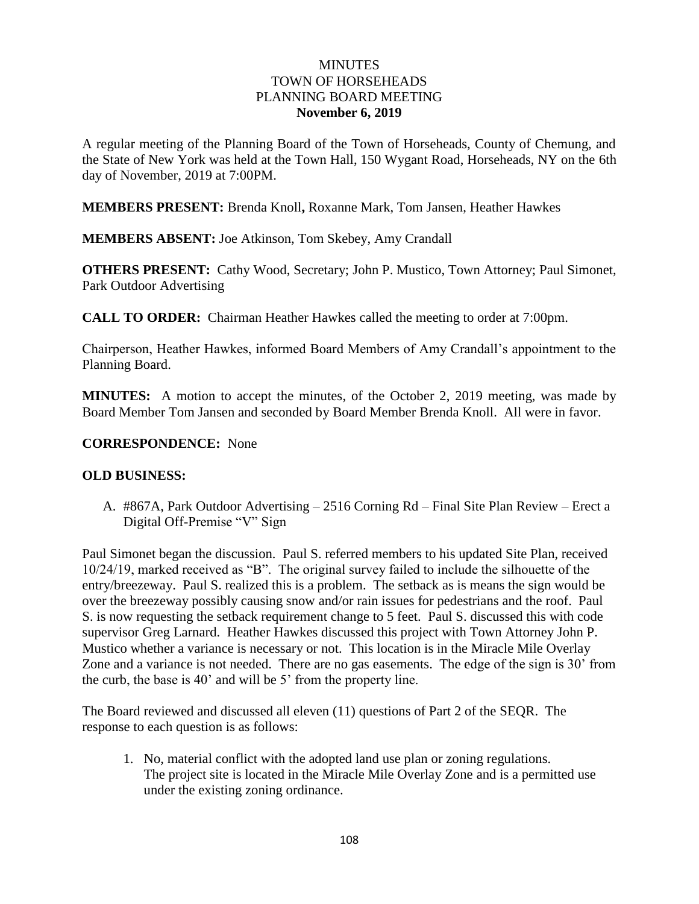## **MINUTES** TOWN OF HORSEHEADS PLANNING BOARD MEETING **November 6, 2019**

A regular meeting of the Planning Board of the Town of Horseheads, County of Chemung, and the State of New York was held at the Town Hall, 150 Wygant Road, Horseheads, NY on the 6th day of November, 2019 at 7:00PM.

**MEMBERS PRESENT:** Brenda Knoll**,** Roxanne Mark, Tom Jansen, Heather Hawkes

**MEMBERS ABSENT:** Joe Atkinson, Tom Skebey, Amy Crandall

**OTHERS PRESENT:** Cathy Wood, Secretary; John P. Mustico, Town Attorney; Paul Simonet, Park Outdoor Advertising

**CALL TO ORDER:** Chairman Heather Hawkes called the meeting to order at 7:00pm.

Chairperson, Heather Hawkes, informed Board Members of Amy Crandall's appointment to the Planning Board.

**MINUTES:** A motion to accept the minutes, of the October 2, 2019 meeting, was made by Board Member Tom Jansen and seconded by Board Member Brenda Knoll. All were in favor.

## **CORRESPONDENCE:** None

## **OLD BUSINESS:**

A. #867A, Park Outdoor Advertising – 2516 Corning Rd – Final Site Plan Review – Erect a Digital Off-Premise "V" Sign

Paul Simonet began the discussion. Paul S. referred members to his updated Site Plan, received 10/24/19, marked received as "B". The original survey failed to include the silhouette of the entry/breezeway. Paul S. realized this is a problem. The setback as is means the sign would be over the breezeway possibly causing snow and/or rain issues for pedestrians and the roof. Paul S. is now requesting the setback requirement change to 5 feet. Paul S. discussed this with code supervisor Greg Larnard. Heather Hawkes discussed this project with Town Attorney John P. Mustico whether a variance is necessary or not. This location is in the Miracle Mile Overlay Zone and a variance is not needed. There are no gas easements. The edge of the sign is 30' from the curb, the base is 40' and will be 5' from the property line.

The Board reviewed and discussed all eleven (11) questions of Part 2 of the SEQR. The response to each question is as follows:

1. No, material conflict with the adopted land use plan or zoning regulations. The project site is located in the Miracle Mile Overlay Zone and is a permitted use under the existing zoning ordinance.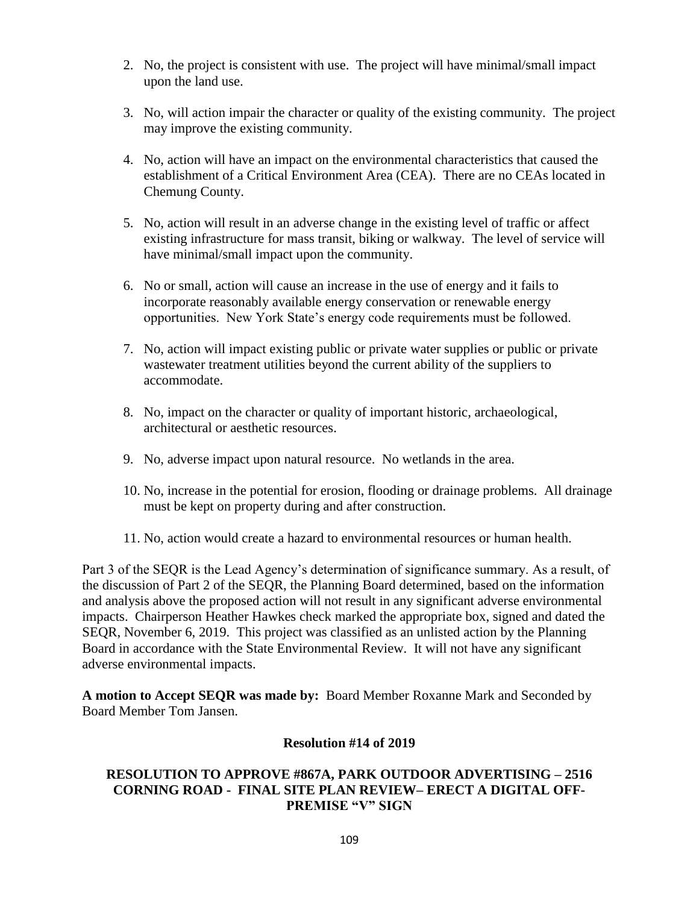- 2. No, the project is consistent with use. The project will have minimal/small impact upon the land use.
- 3. No, will action impair the character or quality of the existing community. The project may improve the existing community.
- 4. No, action will have an impact on the environmental characteristics that caused the establishment of a Critical Environment Area (CEA). There are no CEAs located in Chemung County.
- 5. No, action will result in an adverse change in the existing level of traffic or affect existing infrastructure for mass transit, biking or walkway. The level of service will have minimal/small impact upon the community.
- 6. No or small, action will cause an increase in the use of energy and it fails to incorporate reasonably available energy conservation or renewable energy opportunities. New York State's energy code requirements must be followed.
- 7. No, action will impact existing public or private water supplies or public or private wastewater treatment utilities beyond the current ability of the suppliers to accommodate.
- 8. No, impact on the character or quality of important historic, archaeological, architectural or aesthetic resources.
- 9. No, adverse impact upon natural resource. No wetlands in the area.
- 10. No, increase in the potential for erosion, flooding or drainage problems. All drainage must be kept on property during and after construction.
- 11. No, action would create a hazard to environmental resources or human health.

Part 3 of the SEQR is the Lead Agency's determination of significance summary. As a result, of the discussion of Part 2 of the SEQR, the Planning Board determined, based on the information and analysis above the proposed action will not result in any significant adverse environmental impacts. Chairperson Heather Hawkes check marked the appropriate box, signed and dated the SEQR, November 6, 2019. This project was classified as an unlisted action by the Planning Board in accordance with the State Environmental Review. It will not have any significant adverse environmental impacts.

**A motion to Accept SEQR was made by:** Board Member Roxanne Mark and Seconded by Board Member Tom Jansen.

#### **Resolution #14 of 2019**

# **RESOLUTION TO APPROVE #867A, PARK OUTDOOR ADVERTISING – 2516 CORNING ROAD - FINAL SITE PLAN REVIEW– ERECT A DIGITAL OFF-PREMISE "V" SIGN**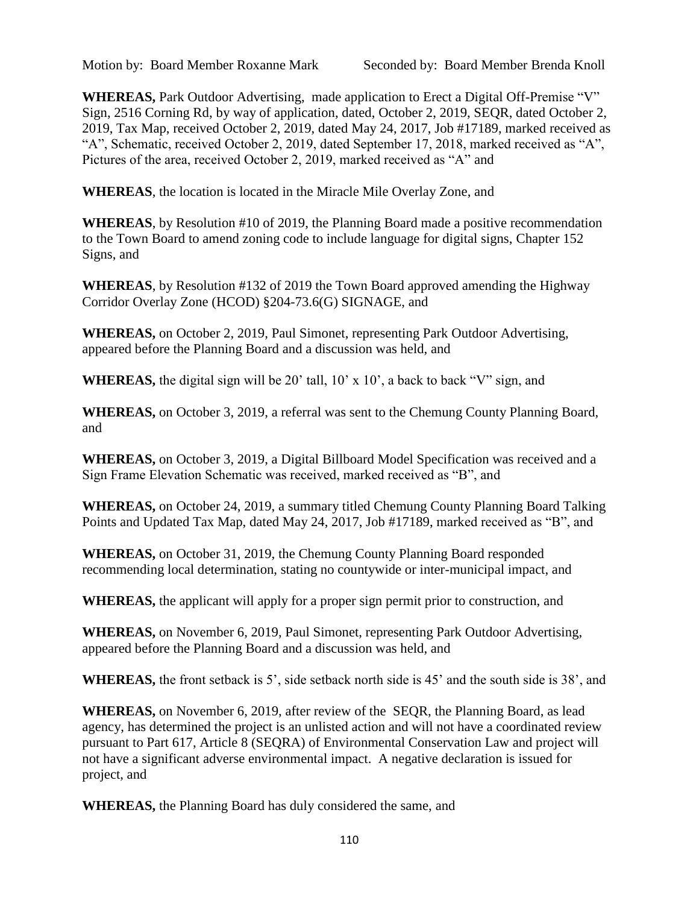**WHEREAS,** Park Outdoor Advertising, made application to Erect a Digital Off-Premise "V" Sign, 2516 Corning Rd, by way of application, dated, October 2, 2019, SEQR, dated October 2, 2019, Tax Map, received October 2, 2019, dated May 24, 2017, Job #17189, marked received as "A", Schematic, received October 2, 2019, dated September 17, 2018, marked received as "A", Pictures of the area, received October 2, 2019, marked received as "A" and

**WHEREAS**, the location is located in the Miracle Mile Overlay Zone, and

**WHEREAS**, by Resolution #10 of 2019, the Planning Board made a positive recommendation to the Town Board to amend zoning code to include language for digital signs, Chapter 152 Signs, and

**WHEREAS**, by Resolution #132 of 2019 the Town Board approved amending the Highway Corridor Overlay Zone (HCOD) §204-73.6(G) SIGNAGE, and

**WHEREAS,** on October 2, 2019, Paul Simonet, representing Park Outdoor Advertising, appeared before the Planning Board and a discussion was held, and

**WHEREAS,** the digital sign will be 20' tall, 10' x 10', a back to back "V" sign, and

**WHEREAS,** on October 3, 2019, a referral was sent to the Chemung County Planning Board, and

**WHEREAS,** on October 3, 2019, a Digital Billboard Model Specification was received and a Sign Frame Elevation Schematic was received, marked received as "B", and

**WHEREAS,** on October 24, 2019, a summary titled Chemung County Planning Board Talking Points and Updated Tax Map, dated May 24, 2017, Job #17189, marked received as "B", and

**WHEREAS,** on October 31, 2019, the Chemung County Planning Board responded recommending local determination, stating no countywide or inter-municipal impact, and

**WHEREAS,** the applicant will apply for a proper sign permit prior to construction, and

**WHEREAS,** on November 6, 2019, Paul Simonet, representing Park Outdoor Advertising, appeared before the Planning Board and a discussion was held, and

**WHEREAS,** the front setback is 5', side setback north side is 45' and the south side is 38', and

**WHEREAS,** on November 6, 2019, after review of the SEQR, the Planning Board, as lead agency, has determined the project is an unlisted action and will not have a coordinated review pursuant to Part 617, Article 8 (SEQRA) of Environmental Conservation Law and project will not have a significant adverse environmental impact. A negative declaration is issued for project, and

**WHEREAS,** the Planning Board has duly considered the same, and